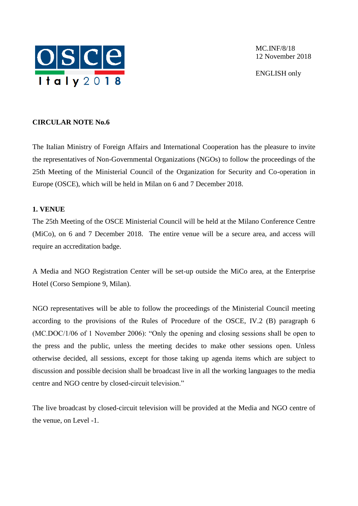

MC.INF/8/18 12 November 2018

ENGLISH only

# **CIRCULAR NOTE No.6**

The Italian Ministry of Foreign Affairs and International Cooperation has the pleasure to invite the representatives of Non-Governmental Organizations (NGOs) to follow the proceedings of the 25th Meeting of the Ministerial Council of the Organization for Security and Co-operation in Europe (OSCE), which will be held in Milan on 6 and 7 December 2018.

# **1. VENUE**

The 25th Meeting of the OSCE Ministerial Council will be held at the Milano Conference Centre (MiCo), on 6 and 7 December 2018. The entire venue will be a secure area, and access will require an accreditation badge.

A Media and NGO Registration Center will be set-up outside the MiCo area, at the Enterprise Hotel (Corso Sempione 9, Milan).

NGO representatives will be able to follow the proceedings of the Ministerial Council meeting according to the provisions of the Rules of Procedure of the OSCE, IV.2 (B) paragraph 6 (MC.DOC/1/06 of 1 November 2006): "Only the opening and closing sessions shall be open to the press and the public, unless the meeting decides to make other sessions open. Unless otherwise decided, all sessions, except for those taking up agenda items which are subject to discussion and possible decision shall be broadcast live in all the working languages to the media centre and NGO centre by closed-circuit television."

The live broadcast by closed-circuit television will be provided at the Media and NGO centre of the venue, on Level -1.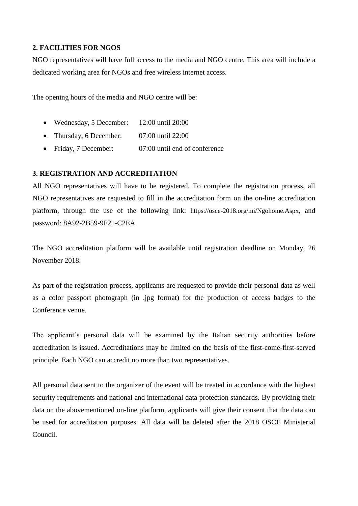# **2. FACILITIES FOR NGOS**

NGO representatives will have full access to the media and NGO centre. This area will include a dedicated working area for NGOs and free wireless internet access.

The opening hours of the media and NGO centre will be:

- Wednesday, 5 December: 12:00 until 20:00
- Thursday, 6 December: 07:00 until 22:00
- Friday, 7 December: 07:00 until end of conference

# **3. REGISTRATION AND ACCREDITATION**

All NGO representatives will have to be registered. To complete the registration process, all NGO representatives are requested to fill in the accreditation form on the on-line accreditation platform, through the use of the following link: <https://osce-2018.org/mi/Ngohome.Aspx>, and password: 8A92-2B59-9F21-C2EA.

The NGO accreditation platform will be available until registration deadline on Monday, 26 November 2018.

As part of the registration process, applicants are requested to provide their personal data as well as a color passport photograph (in .jpg format) for the production of access badges to the Conference venue.

The applicant's personal data will be examined by the Italian security authorities before accreditation is issued. Accreditations may be limited on the basis of the first-come-first-served principle. Each NGO can accredit no more than two representatives.

All personal data sent to the organizer of the event will be treated in accordance with the highest security requirements and national and international data protection standards. By providing their data on the abovementioned on-line platform, applicants will give their consent that the data can be used for accreditation purposes. All data will be deleted after the 2018 OSCE Ministerial Council.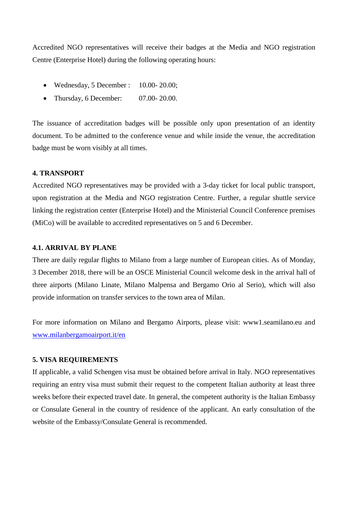Accredited NGO representatives will receive their badges at the Media and NGO registration Centre (Enterprise Hotel) during the following operating hours:

- Wednesday, 5 December : 10.00- 20.00;
- Thursday, 6 December: 07.00- 20.00.

The issuance of accreditation badges will be possible only upon presentation of an identity document. To be admitted to the conference venue and while inside the venue, the accreditation badge must be worn visibly at all times.

#### **4. TRANSPORT**

Accredited NGO representatives may be provided with a 3-day ticket for local public transport, upon registration at the Media and NGO registration Centre. Further, a regular shuttle service linking the registration center (Enterprise Hotel) and the Ministerial Council Conference premises (MiCo) will be available to accredited representatives on 5 and 6 December.

#### **4.1. ARRIVAL BY PLANE**

There are daily regular flights to Milano from a large number of European cities. As of Monday, 3 December 2018, there will be an OSCE Ministerial Council welcome desk in the arrival hall of three airports (Milano Linate, Milano Malpensa and Bergamo Orio al Serio), which will also provide information on transfer services to the town area of Milan.

For more information on Milano and Bergamo Airports, please visit: www1.seamilano.eu and [www.milanbergamoairport.it/en](http://www.milanbergamoairport.it/en)

#### **5. VISA REQUIREMENTS**

If applicable, a valid Schengen visa must be obtained before arrival in Italy. NGO representatives requiring an entry visa must submit their request to the competent Italian authority at least three weeks before their expected travel date. In general, the competent authority is the Italian Embassy or Consulate General in the country of residence of the applicant. An early consultation of the website of the Embassy/Consulate General is recommended.